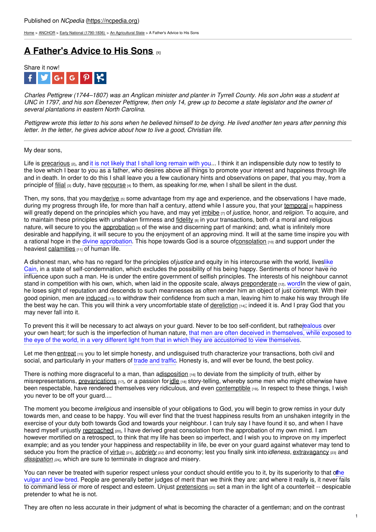[Home](https://ncpedia.org/) > [ANCHOR](https://ncpedia.org/anchor/anchor) > Early National [\(1790-1836\)](https://ncpedia.org/anchor/early-national-1790-1836) > An [Agricultural](https://ncpedia.org/anchor/agricultural-state) State > A Father's Advice to His Sons

## **A [Father's](https://ncpedia.org/anchor/fathers-advice-his-sons) Advice to His Sons [1]**



Charles Pettigrew (1744–1807) was an Anglican minister and planter in Tyrrell County. His son John was a student at UNC in 1797, and his son Ebenezer Pettigrew, then only 14, grew up to become a state legislator and the owner of *several plantations in eastern North Carolina.*

Pettigrew wrote this letter to his sons when he believed himself to be dying. He lived another ten years after penning this *letter. In the letter, he gives advice about how to live a good, Christian life.*

My dear sons,

Life is [precarious](https://ncpedia.org/glossary/precarious) (2), and it is not likely that I shall long remain with you... I think it an indispensible duty now to testify to the love which I bear to you as a father, who [desires](http://www.social9.com) above all things to promote your interest and happiness through life and in death. In order to do this I shall leave you a few cautionary hints and observations on paper, that you may, from a principle of [filial](https://ncpedia.org/glossary/filial) [3] duty, have [recourse](https://ncpedia.org/glossary/recourse) [4] to them, as speaking for*me*, when I shall be silent in the dust.

Then, my sons, that you may [derive](https://ncpedia.org/glossary/derive)  $_{[5]}$  some advantage from my age and experience, and the observations I have made, during my progress through life, for more than half a century, attend while I assure you, that your [temporal](https://ncpedia.org/glossary/temporal) <sup>60</sup> happiness will greatly depend on the principles which you have, and may yet [imbibe](https://ncpedia.org/glossary/imbibe) [7] of *justice*, honor, and *religion*. To acquire, and to maintain these principles with unshaken firmness and [fidelity](https://ncpedia.org/glossary/fidelity) [8] in your transactions, both of a moral and religious nature, will secure to you the [approbation](https://ncpedia.org/glossary/approbation)  $\theta$  of the wise and discerning part of mankind; and, what is infinitely more desirable and happifying, it will secure to you the enjoyment of an approving mind. It will at the same time inspire you with a rational hope in the divine approbation. This hope towards God is a source of[consolation](https://ncpedia.org/glossary/consolation) [10] and support under the heaviest [calamities](https://ncpedia.org/glossary/calamity)  $[11]$  of human life.

A dishonest man, who has no regard for the principles of*justice* and equity in his intercourse with the world, liveslike Cain, in a state of self-condemnation, which excludes the possibility of his being happy. Sentiments of honor have no influence upon such a man. He is under the entire government of selfish principles. The interests of his neighbour cannot stand in competition with his own, which, when laid in the opposite scale, always [preponderate](https://ncpedia.org/glossary/preponderate) [12]. wordIn the view of gain, he loses sight of reputation and descends to such meannesses as often render him an object of just contempt. With their good opinion, men are [induced](https://ncpedia.org/glossary/induce)  $13$  to withdraw their confidence from such a man, leaving him to make his way through life the best way he can. This you will think a very uncomfortable state of [dereliction](https://ncpedia.org/glossary/dereliction) [14]; indeed it is. And I pray God that you may never fall into it.

To prevent this it will be necessary to act always on your guard. Never to be too self-confident, but ratherealous over your own heart; for such is the imperfection of human nature, that men are often deceived in themselves, while exposed to the eye of the world, in a very different light from that in which they are accustomed to view themselves.

Let me then [entreat](https://ncpedia.org/glossary/entreat) [15] you to let simple honesty, and undisguised truth characterize your transactions, both civil and social, and particularly in your matters of trade and traffic. Honesty is, and will ever be found, the best policy.

There is nothing more disgraceful to a man, than [adisposition](https://ncpedia.org/glossary/disposition)  $\mu_{0}$  to deviate from the simplicity of truth, either by misrepresentations, [prevarications](https://ncpedia.org/glossary/prevarication)  $H_1$ , or a passion for[idle](https://ncpedia.org/glossary/idle)  $H_1$ 8] story-telling, whereby some men who might otherwise have been respectable, have rendered themselves very ridiculous, and even [contemptible](https://ncpedia.org/glossary/contemptible) [19]. In respect to these things, I wish you never to be off your guard....

The moment you become *irreligious* and insensible of your obligations to God, you will begin to grow remiss in your duty towards men, and cease to be happy. You will ever find that the truest happiness results from an unshaken integrity in the exercise of your duty both towards God and towards your neighbour. I can truly say I have found it so, and when I have heard myself unjustly [reproached](https://ncpedia.org/glossary/reproach) [20], I have derived great consolation from the approbation of my own mind. I am however mortified on a retrospect, to think that my life has been so imperfect, and I wish you to improve on my imperfect example; and as you tender your happiness and respectability in life, be ever on your guard against whatever may tend to seduce you from the practice of [virtue](https://ncpedia.org/glossary/virtue) [21], *[sobriety](https://ncpedia.org/glossary/sobriety) [22]* and economy; lest you finally sink into*idleness*, [extravagancy](https://ncpedia.org/glossary/extravagancy) [23] and *[dissipation](https://ncpedia.org/glossary/dissipation)* [24], which are sure to terminate in disgrace and misery.

You can never be treated with superior respect unless your conduct should entitle you to it, by its superiority to that othe vulgar and low-bred. People are generally better judges of merit than we think they are: and where it really is, it never fails to command less or more of respect and esteem. Unjust [pretensions](https://ncpedia.org/glossary/pretension) [25] set a man in the light of a counterfeit -- despicable pretender to what he is not.

They are often no less accurate in their judgment of what is becoming the character of a gentleman; and on the contrast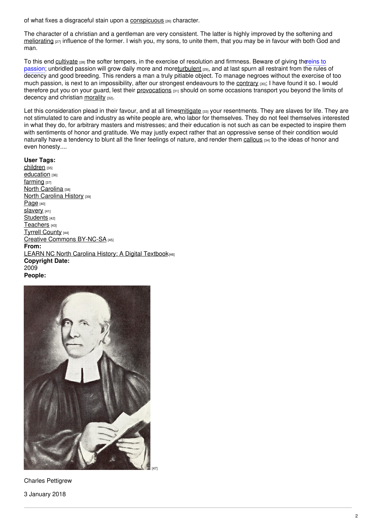of what fixes a disgraceful stain upon a [conspicuous](https://ncpedia.org/glossary/conspicuous) [26] character.

The character of a christian and a gentleman are very consistent. The latter is highly improved by the softening and [meliorating](https://ncpedia.org/glossary/meliorate) <sub>[27]</sub> influence of the former. I wish you, my sons, to unite them, that you may be in favour with both God and man.

To this end [cultivate](https://ncpedia.org/glossary/cultivate) [28] the softer tempers, in the exercise of resolution and firmness. Beware of giving thereins to passion; unbridled passion will grow daily more and mor[eturbulent](https://ncpedia.org/glossary/turbulent) [29], and at last spurn all restraint from the rules of decency and good breeding. This renders a man a truly pitiable object. To manage negroes without the exercise of too much passion, is next to an impossibility, after our strongest endeavours to the [contrary](https://ncpedia.org/glossary/contrary) [30]; I have found it so. I would therefore put you on your guard, lest their [provocations](https://ncpedia.org/glossary/provocation) [31] should on some occasions transport you beyond the limits of decency and christian [morality](https://ncpedia.org/glossary/morality) [32].

Let this consideration plead in their favour, and at all time[smitigate](https://ncpedia.org/glossary/mitigate) [33] your resentments. They are slaves for life. They are not stimulated to care and industry as white people are, who labor for themselves. They do not feel themselves interested in what they do, for arbitrary masters and mistresses; and their education is not such as can be expected to inspire them with sentiments of honor and gratitude. We may justly expect rather that an oppressive sense of their condition would naturally have a tendency to blunt all the finer feelings of nature, and render them [callous](https://ncpedia.org/glossary/callous) [34] to the ideas of honor and even honesty....

## **User Tags:**

[children](https://ncpedia.org/category/user-tags/children) [35] [education](https://ncpedia.org/category/user-tags/education) [36] [farming](https://ncpedia.org/category/user-tags/farming) [37] North [Carolina](https://ncpedia.org/category/user-tags/north-carolina-5) [38] **North [Carolina](https://ncpedia.org/category/user-tags/north-carolina-6) History [39]** [Page](https://ncpedia.org/category/user-tags/page) [40] [slavery](https://ncpedia.org/category/user-tags/slavery) [41] [Students](https://ncpedia.org/category/user-tags/students) [42] [Teachers](https://ncpedia.org/category/user-tags/teachers) [43] Tyrrell [County](https://ncpedia.org/category/user-tags/tyrrell-county) [44] Creative Commons [BY-NC-SA](https://ncpedia.org/category/user-tags/creative-commons) [45] **From:** LEARN NC North Carolina History: A Digital [Textbook](https://ncpedia.org/category/entry-source/learn-nc)[46] **Copyright Date:** 2009 **People:**



Charles Pettigrew